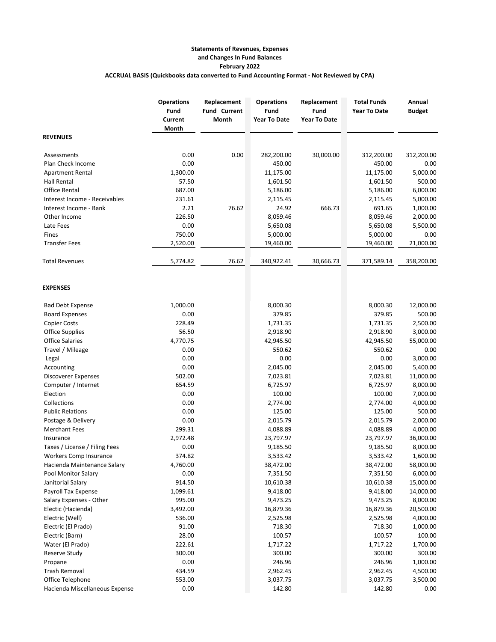## **Statements of Revenues, Expenses and Changes In Fund Balances February 2022 ACCRUAL BASIS (Quickbooks data converted to Fund Accounting Format - Not Reviewed by CPA)**

|                                | <b>Operations</b><br>Fund<br>Current<br>Month | Replacement<br><b>Fund Current</b><br>Month | <b>Operations</b><br>Fund<br><b>Year To Date</b> | Replacement<br>Fund<br><b>Year To Date</b> | <b>Total Funds</b><br><b>Year To Date</b> | Annual<br><b>Budget</b> |
|--------------------------------|-----------------------------------------------|---------------------------------------------|--------------------------------------------------|--------------------------------------------|-------------------------------------------|-------------------------|
| <b>REVENUES</b>                |                                               |                                             |                                                  |                                            |                                           |                         |
| Assessments                    | 0.00                                          | 0.00                                        | 282,200.00                                       | 30,000.00                                  | 312,200.00                                | 312,200.00              |
| Plan Check Income              | 0.00                                          |                                             | 450.00                                           |                                            | 450.00                                    | 0.00                    |
| <b>Apartment Rental</b>        | 1,300.00                                      |                                             | 11,175.00                                        |                                            | 11,175.00                                 | 5,000.00                |
| Hall Rental                    | 57.50                                         |                                             | 1,601.50                                         |                                            | 1,601.50                                  | 500.00                  |
| <b>Office Rental</b>           | 687.00                                        |                                             | 5,186.00                                         |                                            | 5,186.00                                  | 6,000.00                |
| Interest Income - Receivables  | 231.61                                        |                                             | 2,115.45                                         |                                            | 2,115.45                                  | 5,000.00                |
| Interest Income - Bank         | 2.21                                          | 76.62                                       | 24.92                                            | 666.73                                     | 691.65                                    | 1,000.00                |
| Other Income                   | 226.50                                        |                                             | 8,059.46                                         |                                            | 8,059.46                                  | 2,000.00                |
| Late Fees                      | 0.00                                          |                                             | 5,650.08                                         |                                            | 5,650.08                                  | 5,500.00                |
| Fines                          | 750.00                                        |                                             | 5,000.00                                         |                                            | 5,000.00                                  | 0.00                    |
| <b>Transfer Fees</b>           | 2,520.00                                      |                                             | 19,460.00                                        |                                            | 19,460.00                                 | 21,000.00               |
| <b>Total Revenues</b>          | 5,774.82                                      | 76.62                                       | 340,922.41                                       | 30,666.73                                  | 371,589.14                                | 358,200.00              |
| <b>EXPENSES</b>                |                                               |                                             |                                                  |                                            |                                           |                         |
| <b>Bad Debt Expense</b>        | 1,000.00                                      |                                             | 8,000.30                                         |                                            | 8,000.30                                  | 12,000.00               |
| <b>Board Expenses</b>          | 0.00                                          |                                             | 379.85                                           |                                            | 379.85                                    | 500.00                  |
| <b>Copier Costs</b>            | 228.49                                        |                                             | 1,731.35                                         |                                            | 1,731.35                                  | 2,500.00                |
| <b>Office Supplies</b>         | 56.50                                         |                                             | 2,918.90                                         |                                            | 2,918.90                                  | 3,000.00                |
| <b>Office Salaries</b>         | 4,770.75                                      |                                             | 42,945.50                                        |                                            | 42,945.50                                 | 55,000.00               |
| Travel / Mileage               | 0.00                                          |                                             | 550.62                                           |                                            | 550.62                                    | 0.00                    |
| Legal                          | 0.00                                          |                                             | 0.00                                             |                                            | 0.00                                      | 3,000.00                |
| Accounting                     | 0.00                                          |                                             | 2,045.00                                         |                                            | 2,045.00                                  | 5,400.00                |
| Discoverer Expenses            | 502.00                                        |                                             | 7,023.81                                         |                                            | 7,023.81                                  | 11,000.00               |
| Computer / Internet            | 654.59                                        |                                             | 6,725.97                                         |                                            | 6,725.97                                  | 8,000.00                |
| Election                       | 0.00                                          |                                             | 100.00                                           |                                            | 100.00                                    | 7,000.00                |
| Collections                    | 0.00                                          |                                             | 2,774.00                                         |                                            | 2,774.00                                  | 4,000.00                |
| <b>Public Relations</b>        | 0.00                                          |                                             | 125.00                                           |                                            | 125.00                                    | 500.00                  |
| Postage & Delivery             | 0.00                                          |                                             | 2,015.79                                         |                                            | 2,015.79                                  | 2,000.00                |
| <b>Merchant Fees</b>           | 299.31                                        |                                             | 4,088.89                                         |                                            | 4,088.89                                  | 4,000.00                |
| Insurance                      | 2,972.48                                      |                                             | 23,797.97                                        |                                            | 23,797.97                                 | 36,000.00               |
| Taxes / License / Filing Fees  | 0.00                                          |                                             | 9,185.50                                         |                                            | 9,185.50                                  | 8,000.00                |
| Workers Comp Insurance         | 374.82                                        |                                             | 3,533.42                                         |                                            | 3,533.42                                  | 1,600.00                |
| Hacienda Maintenance Salary    | 4,760.00                                      |                                             | 38,472.00                                        |                                            | 38,472.00                                 | 58,000.00               |
| Pool Monitor Salary            | 0.00                                          |                                             | 7,351.50                                         |                                            | 7,351.50                                  | 6,000.00                |
| Janitorial Salary              | 914.50                                        |                                             | 10,610.38                                        |                                            | 10,610.38                                 | 15,000.00               |
| Payroll Tax Expense            | 1,099.61                                      |                                             | 9,418.00                                         |                                            | 9,418.00                                  | 14,000.00               |
| Salary Expenses - Other        | 995.00                                        |                                             | 9,473.25                                         |                                            | 9,473.25                                  | 8,000.00                |
| Electic (Hacienda)             | 3,492.00                                      |                                             | 16,879.36                                        |                                            | 16,879.36                                 | 20,500.00               |
| Electric (Well)                | 536.00                                        |                                             | 2,525.98                                         |                                            | 2,525.98                                  | 4,000.00                |
| Electric (El Prado)            | 91.00                                         |                                             | 718.30                                           |                                            | 718.30                                    | 1,000.00                |
| Electric (Barn)                | 28.00                                         |                                             | 100.57                                           |                                            | 100.57                                    | 100.00                  |
| Water (El Prado)               | 222.61                                        |                                             | 1,717.22                                         |                                            | 1,717.22                                  | 1,700.00                |
| Reserve Study                  | 300.00                                        |                                             | 300.00                                           |                                            | 300.00                                    | 300.00                  |
| Propane                        | 0.00                                          |                                             | 246.96                                           |                                            | 246.96                                    | 1,000.00                |
| <b>Trash Removal</b>           | 434.59                                        |                                             | 2,962.45                                         |                                            | 2,962.45                                  | 4,500.00                |
| Office Telephone               | 553.00                                        |                                             | 3,037.75                                         |                                            | 3,037.75                                  | 3,500.00                |
| Hacienda Miscellaneous Expense | 0.00                                          |                                             | 142.80                                           |                                            | 142.80                                    | 0.00                    |